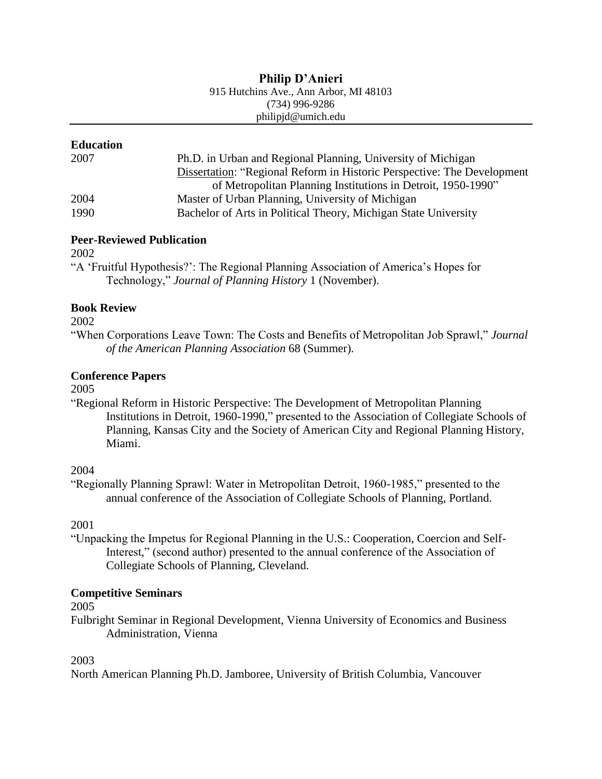### **Philip D'Anieri**

915 Hutchins Ave., Ann Arbor, MI 48103 (734) 996-9286

philipjd@umich.edu

## **Education**

| 2007 | Ph.D. in Urban and Regional Planning, University of Michigan            |
|------|-------------------------------------------------------------------------|
|      | Dissertation: "Regional Reform in Historic Perspective: The Development |
|      | of Metropolitan Planning Institutions in Detroit, 1950-1990"            |
| 2004 | Master of Urban Planning, University of Michigan                        |
| 1990 | Bachelor of Arts in Political Theory, Michigan State University         |

# **Peer-Reviewed Publication**

2002

"A 'Fruitful Hypothesis?': The Regional Planning Association of America's Hopes for Technology," *Journal of Planning History* 1 (November).

## **Book Review**

2002

"When Corporations Leave Town: The Costs and Benefits of Metropolitan Job Sprawl," *Journal of the American Planning Association* 68 (Summer).

# **Conference Papers**

2005

"Regional Reform in Historic Perspective: The Development of Metropolitan Planning Institutions in Detroit, 1960-1990," presented to the Association of Collegiate Schools of Planning, Kansas City and the Society of American City and Regional Planning History, Miami.

# 2004

"Regionally Planning Sprawl: Water in Metropolitan Detroit, 1960-1985," presented to the annual conference of the Association of Collegiate Schools of Planning, Portland.

2001

"Unpacking the Impetus for Regional Planning in the U.S.: Cooperation, Coercion and Self-Interest," (second author) presented to the annual conference of the Association of Collegiate Schools of Planning, Cleveland.

# **Competitive Seminars**

2005

Fulbright Seminar in Regional Development, Vienna University of Economics and Business Administration, Vienna

### 2003

North American Planning Ph.D. Jamboree, University of British Columbia, Vancouver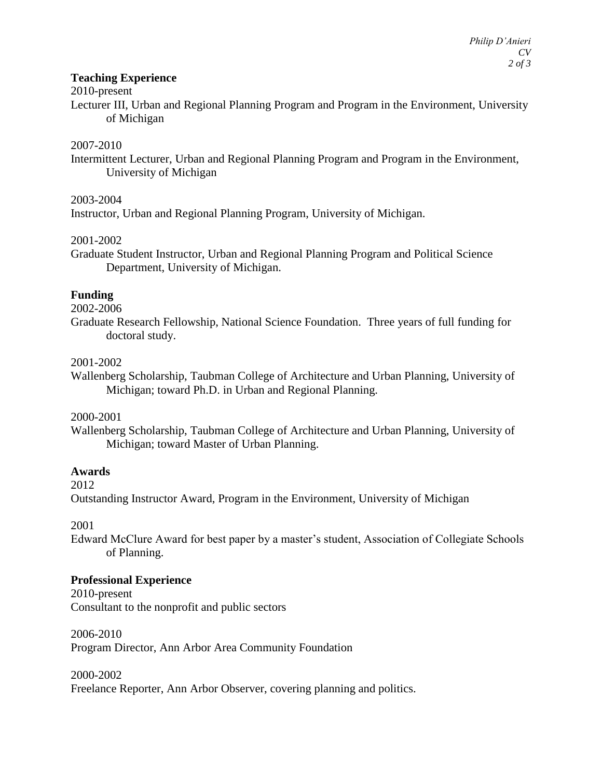### **Teaching Experience**

#### 2010-present

Lecturer III, Urban and Regional Planning Program and Program in the Environment, University of Michigan

### 2007-2010

Intermittent Lecturer, Urban and Regional Planning Program and Program in the Environment, University of Michigan

2003-2004

Instructor, Urban and Regional Planning Program, University of Michigan.

#### 2001-2002

Graduate Student Instructor, Urban and Regional Planning Program and Political Science Department, University of Michigan.

### **Funding**

2002-2006

Graduate Research Fellowship, National Science Foundation. Three years of full funding for doctoral study.

### 2001-2002

Wallenberg Scholarship, Taubman College of Architecture and Urban Planning, University of Michigan; toward Ph.D. in Urban and Regional Planning.

#### 2000-2001

Wallenberg Scholarship, Taubman College of Architecture and Urban Planning, University of Michigan; toward Master of Urban Planning.

### **Awards**

2012

Outstanding Instructor Award, Program in the Environment, University of Michigan

2001

Edward McClure Award for best paper by a master's student, Association of Collegiate Schools of Planning.

#### **Professional Experience**

2010-present Consultant to the nonprofit and public sectors

## 2006-2010

Program Director, Ann Arbor Area Community Foundation

2000-2002

Freelance Reporter, Ann Arbor Observer, covering planning and politics.